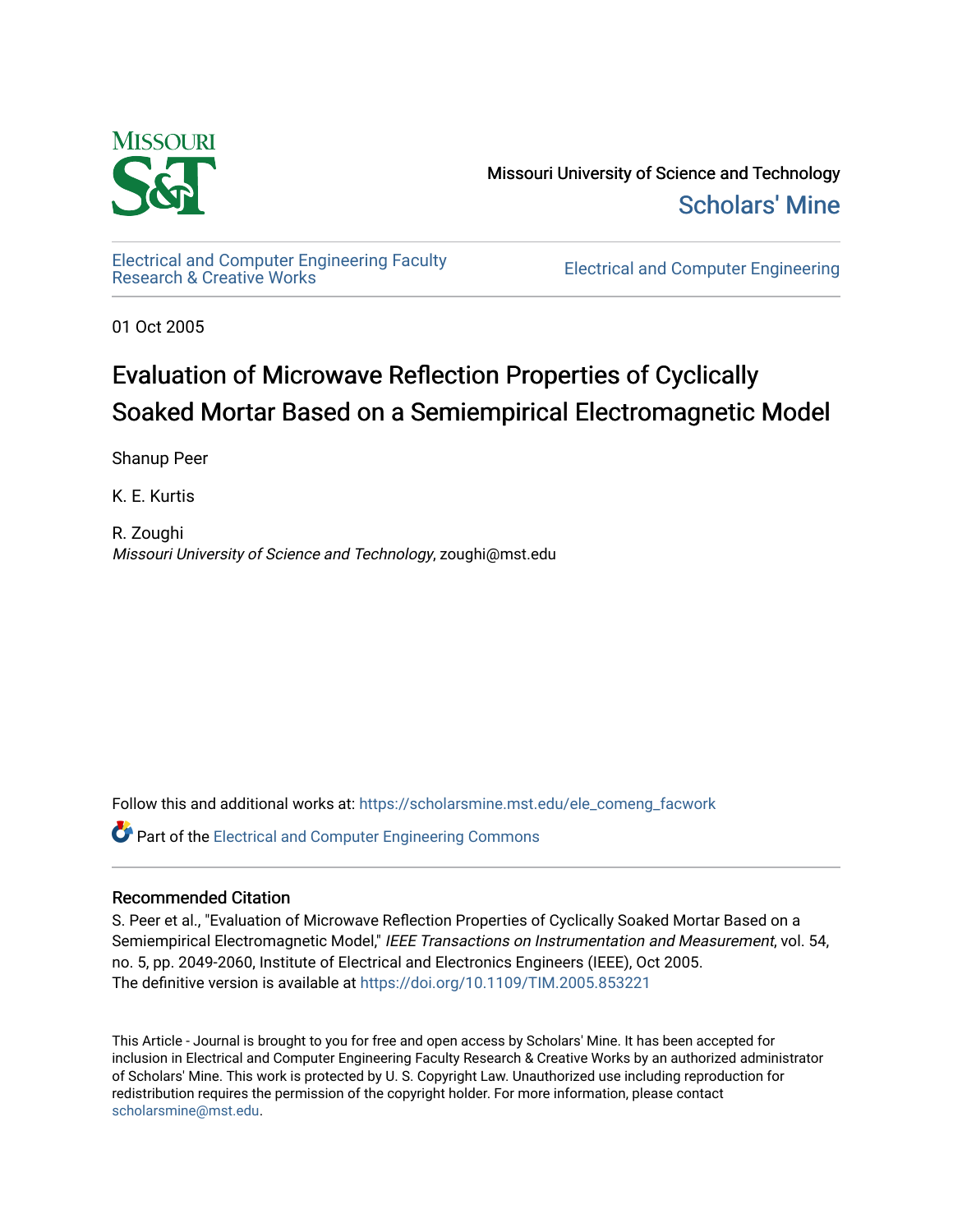

Missouri University of Science and Technology [Scholars' Mine](https://scholarsmine.mst.edu/) 

[Electrical and Computer Engineering Faculty](https://scholarsmine.mst.edu/ele_comeng_facwork)

**Electrical and Computer Engineering** 

01 Oct 2005

## Evaluation of Microwave Reflection Properties of Cyclically Soaked Mortar Based on a Semiempirical Electromagnetic Model

Shanup Peer

K. E. Kurtis

R. Zoughi Missouri University of Science and Technology, zoughi@mst.edu

Follow this and additional works at: [https://scholarsmine.mst.edu/ele\\_comeng\\_facwork](https://scholarsmine.mst.edu/ele_comeng_facwork?utm_source=scholarsmine.mst.edu%2Fele_comeng_facwork%2F1606&utm_medium=PDF&utm_campaign=PDFCoverPages)

**C** Part of the Electrical and Computer Engineering Commons

### Recommended Citation

S. Peer et al., "Evaluation of Microwave Reflection Properties of Cyclically Soaked Mortar Based on a Semiempirical Electromagnetic Model," IEEE Transactions on Instrumentation and Measurement, vol. 54, no. 5, pp. 2049-2060, Institute of Electrical and Electronics Engineers (IEEE), Oct 2005. The definitive version is available at <https://doi.org/10.1109/TIM.2005.853221>

This Article - Journal is brought to you for free and open access by Scholars' Mine. It has been accepted for inclusion in Electrical and Computer Engineering Faculty Research & Creative Works by an authorized administrator of Scholars' Mine. This work is protected by U. S. Copyright Law. Unauthorized use including reproduction for redistribution requires the permission of the copyright holder. For more information, please contact [scholarsmine@mst.edu.](mailto:scholarsmine@mst.edu)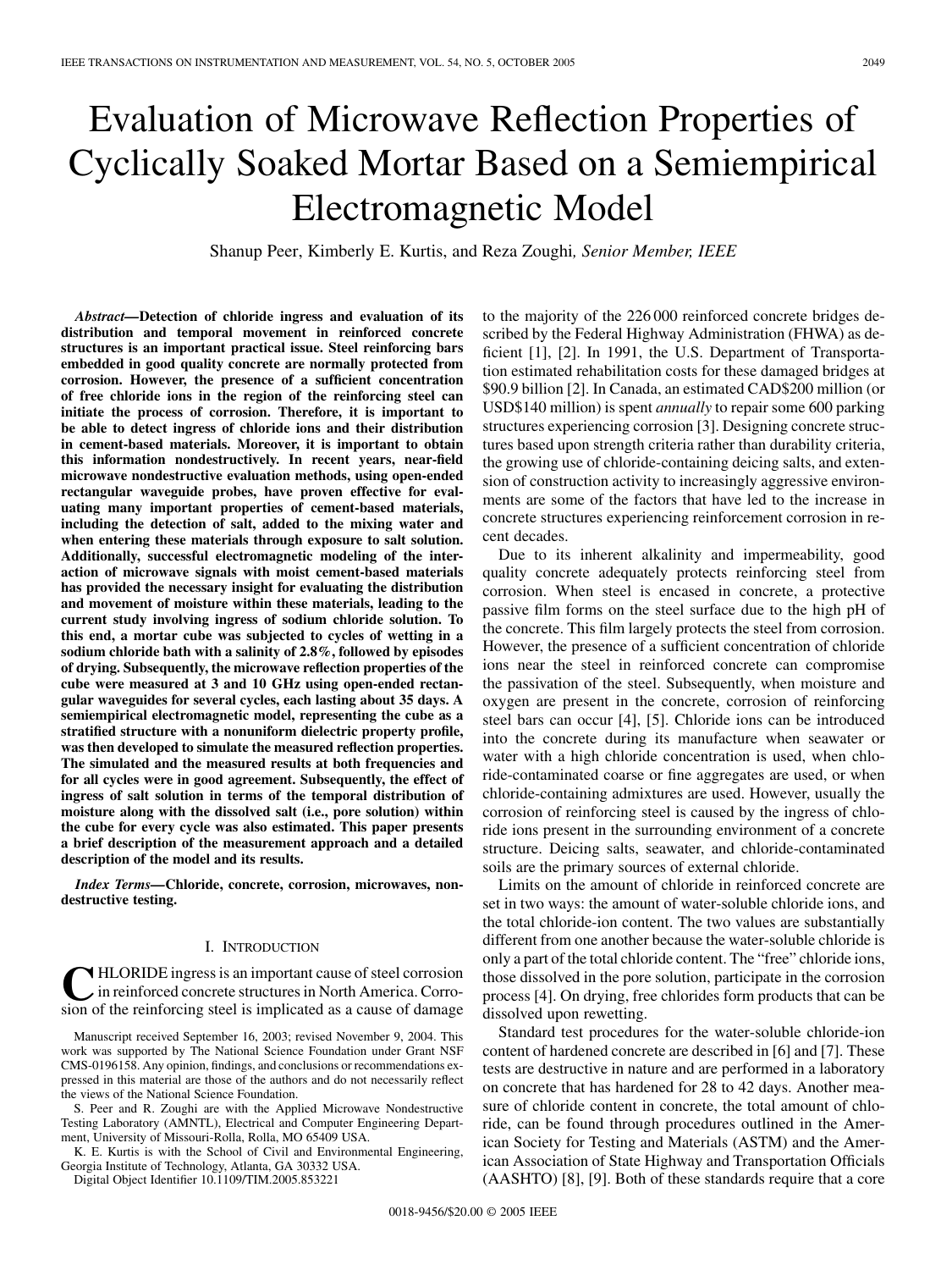# Evaluation of Microwave Reflection Properties of Cyclically Soaked Mortar Based on a Semiempirical Electromagnetic Model

Shanup Peer, Kimberly E. Kurtis, and Reza Zoughi*, Senior Member, IEEE*

*Abstract—***Detection of chloride ingress and evaluation of its distribution and temporal movement in reinforced concrete structures is an important practical issue. Steel reinforcing bars embedded in good quality concrete are normally protected from corrosion. However, the presence of a sufficient concentration of free chloride ions in the region of the reinforcing steel can initiate the process of corrosion. Therefore, it is important to be able to detect ingress of chloride ions and their distribution in cement-based materials. Moreover, it is important to obtain this information nondestructively. In recent years, near-field microwave nondestructive evaluation methods, using open-ended rectangular waveguide probes, have proven effective for evaluating many important properties of cement-based materials, including the detection of salt, added to the mixing water and when entering these materials through exposure to salt solution. Additionally, successful electromagnetic modeling of the interaction of microwave signals with moist cement-based materials has provided the necessary insight for evaluating the distribution and movement of moisture within these materials, leading to the current study involving ingress of sodium chloride solution. To this end, a mortar cube was subjected to cycles of wetting in a sodium chloride bath with a salinity of 2.8%, followed by episodes of drying. Subsequently, the microwave reflection properties of the cube were measured at 3 and 10 GHz using open-ended rectangular waveguides for several cycles, each lasting about 35 days. A semiempirical electromagnetic model, representing the cube as a stratified structure with a nonuniform dielectric property profile, was then developed to simulate the measured reflection properties. The simulated and the measured results at both frequencies and for all cycles were in good agreement. Subsequently, the effect of ingress of salt solution in terms of the temporal distribution of moisture along with the dissolved salt (i.e., pore solution) within the cube for every cycle was also estimated. This paper presents a brief description of the measurement approach and a detailed description of the model and its results.**

*Index Terms—***Chloride, concrete, corrosion, microwaves, nondestructive testing.**

#### I. INTRODUCTION

**C**HLORIDE ingress is an important cause of steel corrosion in reinforced concrete structures in North America. Corrosion of the reinforcing steel is implicated as a cause of damage

Manuscript received September 16, 2003; revised November 9, 2004. This work was supported by The National Science Foundation under Grant NSF CMS-0196158. Any opinion, findings, and conclusions or recommendations expressed in this material are those of the authors and do not necessarily reflect the views of the National Science Foundation.

S. Peer and R. Zoughi are with the Applied Microwave Nondestructive Testing Laboratory (AMNTL), Electrical and Computer Engineering Department, University of Missouri-Rolla, Rolla, MO 65409 USA.

K. E. Kurtis is with the School of Civil and Environmental Engineering, Georgia Institute of Technology, Atlanta, GA 30332 USA.

Digital Object Identifier 10.1109/TIM.2005.853221

to the majority of the 226 000 reinforced concrete bridges described by the Federal Highway Administration (FHWA) as deficient [\[1](#page-11-0)], [\[2](#page-11-0)]. In 1991, the U.S. Department of Transportation estimated rehabilitation costs for these damaged bridges at \$90.9 billion [\[2](#page-11-0)]. In Canada, an estimated CAD\$200 million (or USD\$140 million) is spent *annually* to repair some 600 parking structures experiencing corrosion [\[3](#page-11-0)]. Designing concrete structures based upon strength criteria rather than durability criteria, the growing use of chloride-containing deicing salts, and extension of construction activity to increasingly aggressive environments are some of the factors that have led to the increase in concrete structures experiencing reinforcement corrosion in recent decades.

Due to its inherent alkalinity and impermeability, good quality concrete adequately protects reinforcing steel from corrosion. When steel is encased in concrete, a protective passive film forms on the steel surface due to the high pH of the concrete. This film largely protects the steel from corrosion. However, the presence of a sufficient concentration of chloride ions near the steel in reinforced concrete can compromise the passivation of the steel. Subsequently, when moisture and oxygen are present in the concrete, corrosion of reinforcing steel bars can occur [\[4](#page-11-0)], [[5\]](#page-11-0). Chloride ions can be introduced into the concrete during its manufacture when seawater or water with a high chloride concentration is used, when chloride-contaminated coarse or fine aggregates are used, or when chloride-containing admixtures are used. However, usually the corrosion of reinforcing steel is caused by the ingress of chloride ions present in the surrounding environment of a concrete structure. Deicing salts, seawater, and chloride-contaminated soils are the primary sources of external chloride.

Limits on the amount of chloride in reinforced concrete are set in two ways: the amount of water-soluble chloride ions, and the total chloride-ion content. The two values are substantially different from one another because the water-soluble chloride is only a part of the total chloride content. The "free" chloride ions, those dissolved in the pore solution, participate in the corrosion process [[4\]](#page-11-0). On drying, free chlorides form products that can be dissolved upon rewetting.

Standard test procedures for the water-soluble chloride-ion content of hardened concrete are described in [\[6](#page-11-0)] and [\[7](#page-11-0)]. These tests are destructive in nature and are performed in a laboratory on concrete that has hardened for 28 to 42 days. Another measure of chloride content in concrete, the total amount of chloride, can be found through procedures outlined in the American Society for Testing and Materials (ASTM) and the American Association of State Highway and Transportation Officials (AASHTO) [[8\]](#page-11-0), [[9](#page-11-0)]. Both of these standards require that a core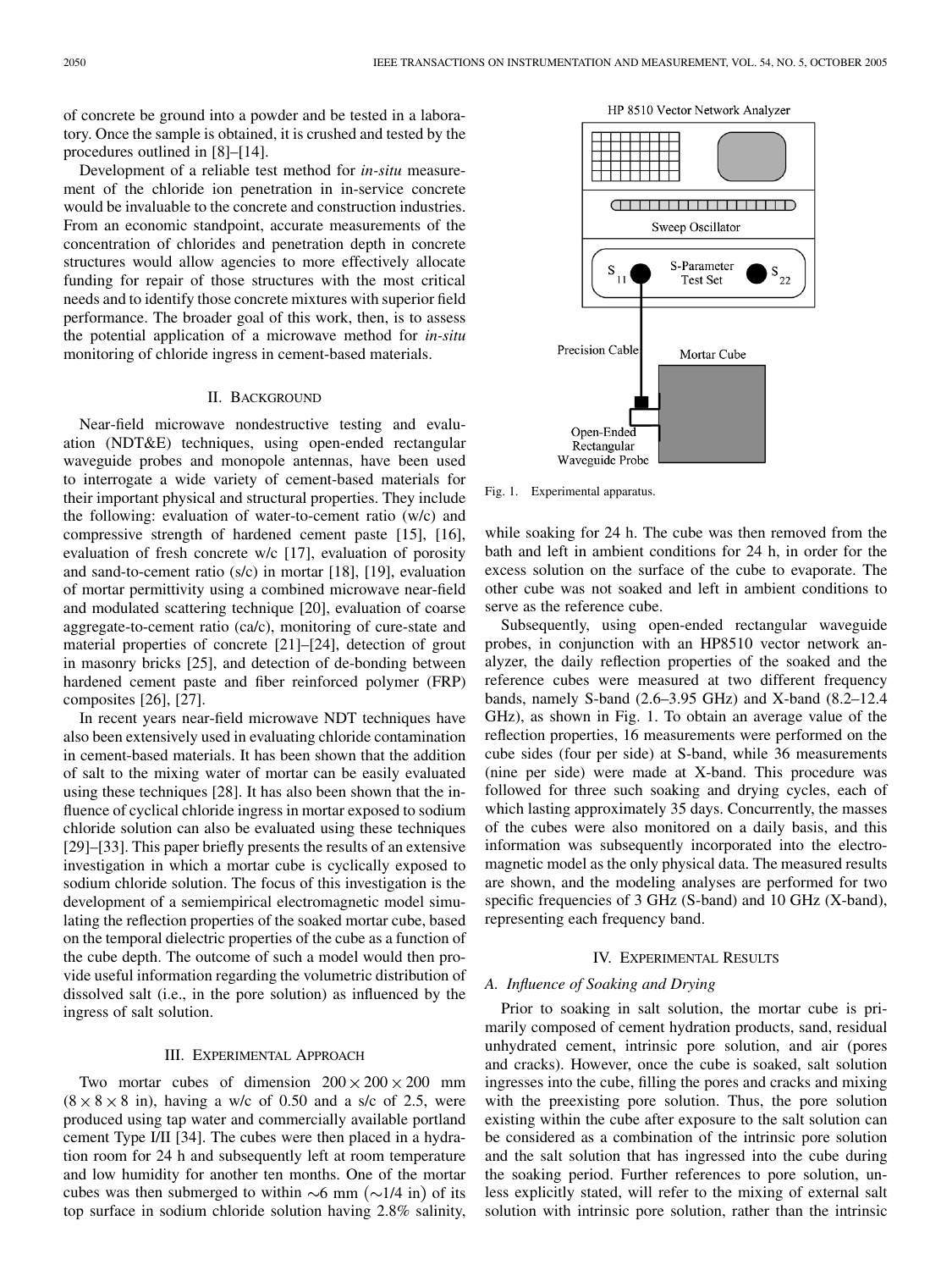of concrete be ground into a powder and be tested in a laboratory. Once the sample is obtained, it is crushed and tested by the procedures outlined in [\[8](#page-11-0)]–[\[14\]](#page-11-0).

Development of a reliable test method for *in-situ* measurement of the chloride ion penetration in in-service concrete would be invaluable to the concrete and construction industries. From an economic standpoint, accurate measurements of the concentration of chlorides and penetration depth in concrete structures would allow agencies to more effectively allocate funding for repair of those structures with the most critical needs and to identify those concrete mixtures with superior field performance. The broader goal of this work, then, is to assess the potential application of a microwave method for *in-situ* monitoring of chloride ingress in cement-based materials.

#### II. BACKGROUND

Near-field microwave nondestructive testing and evaluation (NDT&E) techniques, using open-ended rectangular waveguide probes and monopole antennas, have been used to interrogate a wide variety of cement-based materials for their important physical and structural properties. They include the following: evaluation of water-to-cement ratio (w/c) and compressive strength of hardened cement paste [\[15](#page-11-0)], [[16\]](#page-11-0), evaluation of fresh concrete w/c [[17\]](#page-11-0), evaluation of porosity and sand-to-cement ratio (s/c) in mortar [\[18](#page-11-0)], [[19\]](#page-11-0), evaluation of mortar permittivity using a combined microwave near-field and modulated scattering technique [\[20](#page-11-0)], evaluation of coarse aggregate-to-cement ratio (ca/c), monitoring of cure-state and material properties of concrete [[21\]](#page-11-0)–[\[24](#page-11-0)], detection of grout in masonry bricks [[25\]](#page-11-0), and detection of de-bonding between hardened cement paste and fiber reinforced polymer (FRP) composites [[26\]](#page-11-0), [[27\]](#page-11-0).

In recent years near-field microwave NDT techniques have also been extensively used in evaluating chloride contamination in cement-based materials. It has been shown that the addition of salt to the mixing water of mortar can be easily evaluated using these techniques [[28\]](#page-11-0). It has also been shown that the influence of cyclical chloride ingress in mortar exposed to sodium chloride solution can also be evaluated using these techniques [[29\]](#page-11-0)–[\[33](#page-11-0)]. This paper briefly presents the results of an extensive investigation in which a mortar cube is cyclically exposed to sodium chloride solution. The focus of this investigation is the development of a semiempirical electromagnetic model simulating the reflection properties of the soaked mortar cube, based on the temporal dielectric properties of the cube as a function of the cube depth. The outcome of such a model would then provide useful information regarding the volumetric distribution of dissolved salt (i.e., in the pore solution) as influenced by the ingress of salt solution.

#### III. EXPERIMENTAL APPROACH

Two mortar cubes of dimension  $200 \times 200 \times 200$  mm  $(8 \times 8 \times 8)$  in), having a w/c of 0.50 and a s/c of 2.5, were produced using tap water and commercially available portland cement Type I/II [[34\]](#page-11-0). The cubes were then placed in a hydration room for 24 h and subsequently left at room temperature and low humidity for another ten months. One of the mortar cubes was then submerged to within  $\sim 6$  mm ( $\sim 1/4$  in) of its top surface in sodium chloride solution having 2.8% salinity,



Fig. 1. Experimental apparatus.

while soaking for 24 h. The cube was then removed from the bath and left in ambient conditions for 24 h, in order for the excess solution on the surface of the cube to evaporate. The other cube was not soaked and left in ambient conditions to serve as the reference cube.

Subsequently, using open-ended rectangular waveguide probes, in conjunction with an HP8510 vector network analyzer, the daily reflection properties of the soaked and the reference cubes were measured at two different frequency bands, namely S-band (2.6–3.95 GHz) and X-band (8.2–12.4 GHz), as shown in Fig. 1. To obtain an average value of the reflection properties, 16 measurements were performed on the cube sides (four per side) at S-band, while 36 measurements (nine per side) were made at X-band. This procedure was followed for three such soaking and drying cycles, each of which lasting approximately 35 days. Concurrently, the masses of the cubes were also monitored on a daily basis, and this information was subsequently incorporated into the electromagnetic model as the only physical data. The measured results are shown, and the modeling analyses are performed for two specific frequencies of 3 GHz (S-band) and 10 GHz (X-band), representing each frequency band.

#### IV. EXPERIMENTAL RESULTS

#### *A. Influence of Soaking and Drying*

Prior to soaking in salt solution, the mortar cube is primarily composed of cement hydration products, sand, residual unhydrated cement, intrinsic pore solution, and air (pores and cracks). However, once the cube is soaked, salt solution ingresses into the cube, filling the pores and cracks and mixing with the preexisting pore solution. Thus, the pore solution existing within the cube after exposure to the salt solution can be considered as a combination of the intrinsic pore solution and the salt solution that has ingressed into the cube during the soaking period. Further references to pore solution, unless explicitly stated, will refer to the mixing of external salt solution with intrinsic pore solution, rather than the intrinsic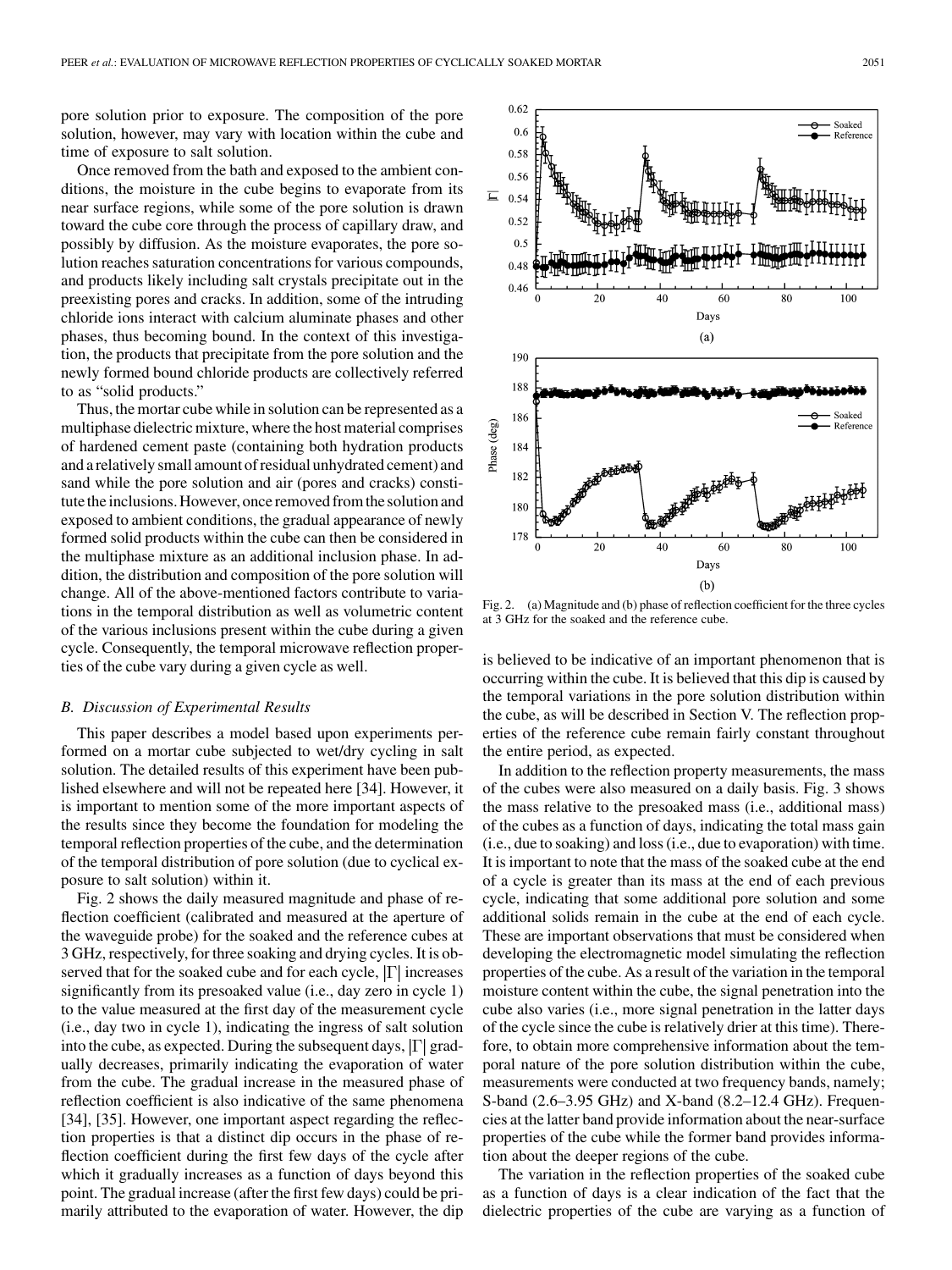pore solution prior to exposure. The composition of the pore solution, however, may vary with location within the cube and time of exposure to salt solution.

Once removed from the bath and exposed to the ambient conditions, the moisture in the cube begins to evaporate from its near surface regions, while some of the pore solution is drawn toward the cube core through the process of capillary draw, and possibly by diffusion. As the moisture evaporates, the pore solution reaches saturation concentrations for various compounds, and products likely including salt crystals precipitate out in the preexisting pores and cracks. In addition, some of the intruding chloride ions interact with calcium aluminate phases and other phases, thus becoming bound. In the context of this investigation, the products that precipitate from the pore solution and the newly formed bound chloride products are collectively referred to as "solid products."

Thus, the mortar cube while in solution can be represented as a multiphase dielectric mixture, where the host material comprises of hardened cement paste (containing both hydration products and a relatively small amount of residual unhydrated cement) and sand while the pore solution and air (pores and cracks) constitute the inclusions. However, once removed from the solution and exposed to ambient conditions, the gradual appearance of newly formed solid products within the cube can then be considered in the multiphase mixture as an additional inclusion phase. In addition, the distribution and composition of the pore solution will change. All of the above-mentioned factors contribute to variations in the temporal distribution as well as volumetric content of the various inclusions present within the cube during a given cycle. Consequently, the temporal microwave reflection properties of the cube vary during a given cycle as well.

#### *B. Discussion of Experimental Results*

This paper describes a model based upon experiments performed on a mortar cube subjected to wet/dry cycling in salt solution. The detailed results of this experiment have been published elsewhere and will not be repeated here [\[34](#page-11-0)]. However, it is important to mention some of the more important aspects of the results since they become the foundation for modeling the temporal reflection properties of the cube, and the determination of the temporal distribution of pore solution (due to cyclical exposure to salt solution) within it.

Fig. 2 shows the daily measured magnitude and phase of reflection coefficient (calibrated and measured at the aperture of the waveguide probe) for the soaked and the reference cubes at 3 GHz, respectively, for three soaking and drying cycles. It is observed that for the soaked cube and for each cycle,  $|\Gamma|$  increases significantly from its presoaked value (i.e., day zero in cycle 1) to the value measured at the first day of the measurement cycle (i.e., day two in cycle 1), indicating the ingress of salt solution into the cube, as expected. During the subsequent days,  $|\Gamma|$  gradually decreases, primarily indicating the evaporation of water from the cube. The gradual increase in the measured phase of reflection coefficient is also indicative of the same phenomena [\[34](#page-11-0)], [\[35](#page-11-0)]. However, one important aspect regarding the reflection properties is that a distinct dip occurs in the phase of reflection coefficient during the first few days of the cycle after which it gradually increases as a function of days beyond this point. The gradual increase (after the first few days) could be primarily attributed to the evaporation of water. However, the dip



Fig. 2. (a) Magnitude and (b) phase of reflection coefficient for the three cycles at 3 GHz for the soaked and the reference cube.

is believed to be indicative of an important phenomenon that is occurring within the cube. It is believed that this dip is caused by the temporal variations in the pore solution distribution within the cube, as will be described in Section V. The reflection properties of the reference cube remain fairly constant throughout the entire period, as expected.

In addition to the reflection property measurements, the mass of the cubes were also measured on a daily basis. Fig. 3 shows the mass relative to the presoaked mass (i.e., additional mass) of the cubes as a function of days, indicating the total mass gain (i.e., due to soaking) and loss (i.e., due to evaporation) with time. It is important to note that the mass of the soaked cube at the end of a cycle is greater than its mass at the end of each previous cycle, indicating that some additional pore solution and some additional solids remain in the cube at the end of each cycle. These are important observations that must be considered when developing the electromagnetic model simulating the reflection properties of the cube. As a result of the variation in the temporal moisture content within the cube, the signal penetration into the cube also varies (i.e., more signal penetration in the latter days of the cycle since the cube is relatively drier at this time). Therefore, to obtain more comprehensive information about the temporal nature of the pore solution distribution within the cube, measurements were conducted at two frequency bands, namely; S-band (2.6–3.95 GHz) and X-band (8.2–12.4 GHz). Frequencies at the latter band provide information about the near-surface properties of the cube while the former band provides information about the deeper regions of the cube.

The variation in the reflection properties of the soaked cube as a function of days is a clear indication of the fact that the dielectric properties of the cube are varying as a function of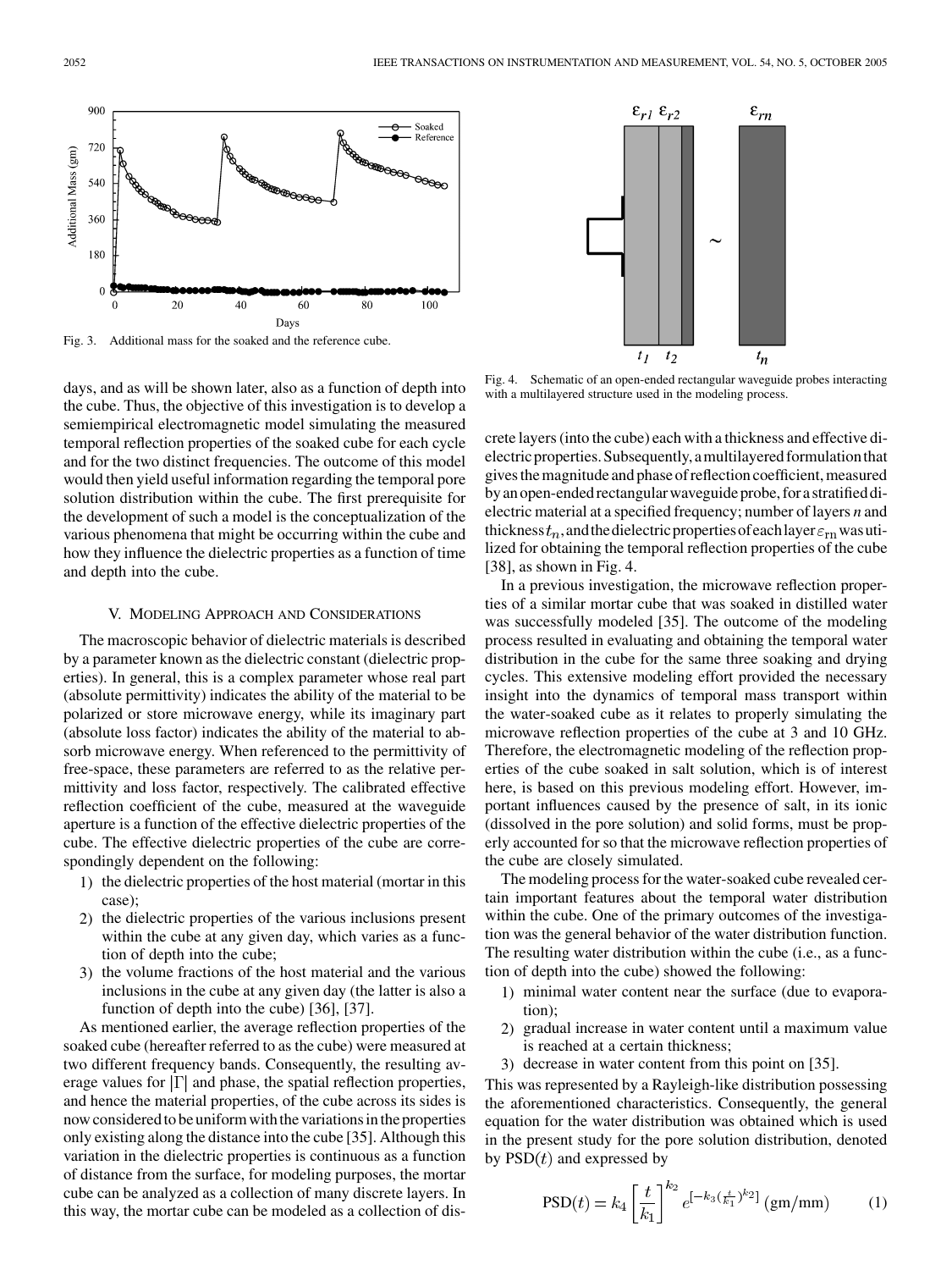

Fig. 3. Additional mass for the soaked and the reference cube.

days, and as will be shown later, also as a function of depth into the cube. Thus, the objective of this investigation is to develop a semiempirical electromagnetic model simulating the measured temporal reflection properties of the soaked cube for each cycle and for the two distinct frequencies. The outcome of this model would then yield useful information regarding the temporal pore solution distribution within the cube. The first prerequisite for the development of such a model is the conceptualization of the various phenomena that might be occurring within the cube and how they influence the dielectric properties as a function of time and depth into the cube.

#### V. MODELING APPROACH AND CONSIDERATIONS

The macroscopic behavior of dielectric materials is described by a parameter known as the dielectric constant (dielectric properties). In general, this is a complex parameter whose real part (absolute permittivity) indicates the ability of the material to be polarized or store microwave energy, while its imaginary part (absolute loss factor) indicates the ability of the material to absorb microwave energy. When referenced to the permittivity of free-space, these parameters are referred to as the relative permittivity and loss factor, respectively. The calibrated effective reflection coefficient of the cube, measured at the waveguide aperture is a function of the effective dielectric properties of the cube. The effective dielectric properties of the cube are correspondingly dependent on the following:

- 1) the dielectric properties of the host material (mortar in this case);
- 2) the dielectric properties of the various inclusions present within the cube at any given day, which varies as a function of depth into the cube;
- 3) the volume fractions of the host material and the various inclusions in the cube at any given day (the latter is also a function of depth into the cube) [\[36](#page-11-0)], [[37\]](#page-11-0).

As mentioned earlier, the average reflection properties of the soaked cube (hereafter referred to as the cube) were measured at two different frequency bands. Consequently, the resulting average values for  $|\Gamma|$  and phase, the spatial reflection properties, and hence the material properties, of the cube across its sides is now considered to be uniform with the variations in the properties only existing along the distance into the cube [\[35](#page-11-0)]. Although this variation in the dielectric properties is continuous as a function of distance from the surface, for modeling purposes, the mortar cube can be analyzed as a collection of many discrete layers. In this way, the mortar cube can be modeled as a collection of dis-



Fig. 4. Schematic of an open-ended rectangular waveguide probes interacting with a multilayered structure used in the modeling process.

crete layers (into the cube) each with a thickness and effective dielectric properties. Subsequently, a multilayered formulation that gives the magnitude and phase of reflection coefficient, measured by an open-ended rectangular waveguide probe, for a stratified dielectric material at a specified frequency; number of layers *n* and thickness  $t_n$ , and the dielectric properties of each layer  $\varepsilon_{rn}$  was utilized for obtaining the temporal reflection properties of the cube [[38\]](#page-11-0), as shown in Fig. 4.

In a previous investigation, the microwave reflection properties of a similar mortar cube that was soaked in distilled water was successfully modeled [[35\]](#page-11-0). The outcome of the modeling process resulted in evaluating and obtaining the temporal water distribution in the cube for the same three soaking and drying cycles. This extensive modeling effort provided the necessary insight into the dynamics of temporal mass transport within the water-soaked cube as it relates to properly simulating the microwave reflection properties of the cube at 3 and 10 GHz. Therefore, the electromagnetic modeling of the reflection properties of the cube soaked in salt solution, which is of interest here, is based on this previous modeling effort. However, important influences caused by the presence of salt, in its ionic (dissolved in the pore solution) and solid forms, must be properly accounted for so that the microwave reflection properties of the cube are closely simulated.

The modeling process for the water-soaked cube revealed certain important features about the temporal water distribution within the cube. One of the primary outcomes of the investigation was the general behavior of the water distribution function. The resulting water distribution within the cube (i.e., as a function of depth into the cube) showed the following:

- 1) minimal water content near the surface (due to evaporation);
- 2) gradual increase in water content until a maximum value is reached at a certain thickness;
- 3) decrease in water content from this point on [\[35\]](#page-11-0).

This was represented by a Rayleigh-like distribution possessing the aforementioned characteristics. Consequently, the general equation for the water distribution was obtained which is used in the present study for the pore solution distribution, denoted by  $PSD(t)$  and expressed by

$$
PSD(t) = k_4 \left[ \frac{t}{k_1} \right]^{k_2} e^{[-k_3(\frac{t}{k_1})^{k_2}]} \left( \text{gm/mm} \right) \tag{1}
$$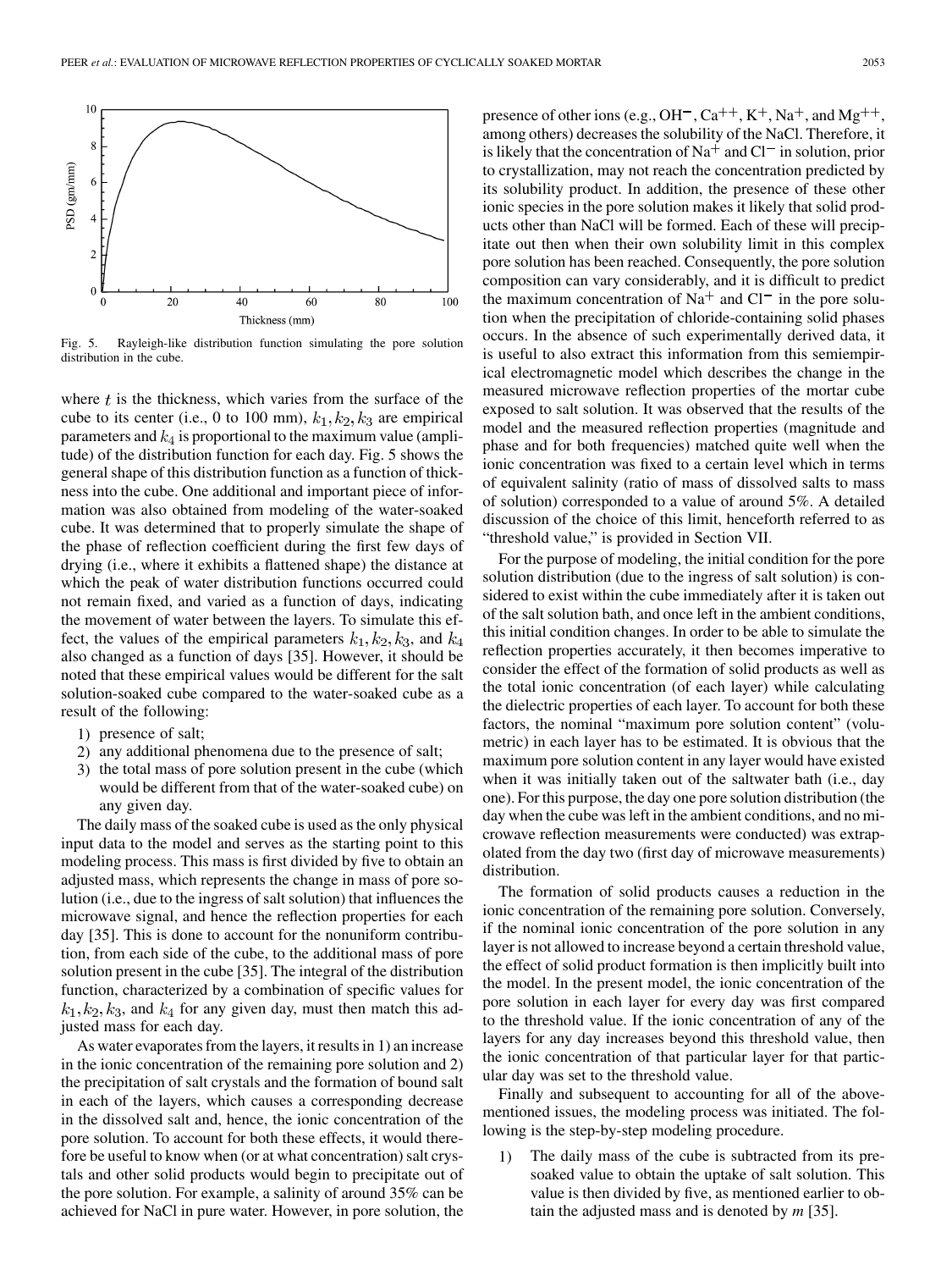

Fig. 5. Rayleigh-like distribution function simulating the pore solution distribution in the cube.

where  $t$  is the thickness, which varies from the surface of the cube to its center (i.e., 0 to 100 mm),  $k_1, k_2, k_3$  are empirical parameters and  $k_4$  is proportional to the maximum value (amplitude) of the distribution function for each day. Fig. 5 shows the general shape of this distribution function as a function of thickness into the cube. One additional and important piece of information was also obtained from modeling of the water-soaked cube. It was determined that to properly simulate the shape of the phase of reflection coefficient during the first few days of drying (i.e., where it exhibits a flattened shape) the distance at which the peak of water distribution functions occurred could not remain fixed, and varied as a function of days, indicating the movement of water between the layers. To simulate this effect, the values of the empirical parameters  $k_1, k_2, k_3$ , and  $k_4$ also changed as a function of days [[35\]](#page-11-0). However, it should be noted that these empirical values would be different for the salt solution-soaked cube compared to the water-soaked cube as a result of the following:

- 1) presence of salt;
- 2) any additional phenomena due to the presence of salt;
- 3) the total mass of pore solution present in the cube (which would be different from that of the water-soaked cube) on any given day.

The daily mass of the soaked cube is used as the only physical input data to the model and serves as the starting point to this modeling process. This mass is first divided by five to obtain an adjusted mass, which represents the change in mass of pore solution (i.e., due to the ingress of salt solution) that influences the microwave signal, and hence the reflection properties for each day [[35\]](#page-11-0). This is done to account for the nonuniform contribution, from each side of the cube, to the additional mass of pore solution present in the cube [\[35](#page-11-0)]. The integral of the distribution function, characterized by a combination of specific values for  $k_1, k_2, k_3$ , and  $k_4$  for any given day, must then match this adjusted mass for each day.

As water evaporates from the layers, it results in 1) an increase in the ionic concentration of the remaining pore solution and 2) the precipitation of salt crystals and the formation of bound salt in each of the layers, which causes a corresponding decrease in the dissolved salt and, hence, the ionic concentration of the pore solution. To account for both these effects, it would therefore be useful to know when (or at what concentration) salt crystals and other solid products would begin to precipitate out of the pore solution. For example, a salinity of around 35% can be achieved for NaCl in pure water. However, in pore solution, the

presence of other ions (e.g.,  $OH^-$ ,  $Ca^{++}$ ,  $K^+$ ,  $Na^+$ , and  $Mg^{++}$ , among others) decreases the solubility of the NaCl. Therefore, it is likely that the concentration of  $Na<sup>+</sup>$  and  $Cl<sup>-</sup>$  in solution, prior to crystallization, may not reach the concentration predicted by its solubility product. In addition, the presence of these other ionic species in the pore solution makes it likely that solid products other than NaCl will be formed. Each of these will precipitate out then when their own solubility limit in this complex pore solution has been reached. Consequently, the pore solution composition can vary considerably, and it is difficult to predict the maximum concentration of  $Na<sup>+</sup>$  and  $Cl<sup>-</sup>$  in the pore solution when the precipitation of chloride-containing solid phases occurs. In the absence of such experimentally derived data, it is useful to also extract this information from this semiempirical electromagnetic model which describes the change in the measured microwave reflection properties of the mortar cube exposed to salt solution. It was observed that the results of the model and the measured reflection properties (magnitude and phase and for both frequencies) matched quite well when the ionic concentration was fixed to a certain level which in terms of equivalent salinity (ratio of mass of dissolved salts to mass of solution) corresponded to a value of around 5%. A detailed discussion of the choice of this limit, henceforth referred to as "threshold value," is provided in Section VII.

For the purpose of modeling, the initial condition for the pore solution distribution (due to the ingress of salt solution) is considered to exist within the cube immediately after it is taken out of the salt solution bath, and once left in the ambient conditions, this initial condition changes. In order to be able to simulate the reflection properties accurately, it then becomes imperative to consider the effect of the formation of solid products as well as the total ionic concentration (of each layer) while calculating the dielectric properties of each layer. To account for both these factors, the nominal "maximum pore solution content" (volumetric) in each layer has to be estimated. It is obvious that the maximum pore solution content in any layer would have existed when it was initially taken out of the saltwater bath (i.e., day one). For this purpose, the day one pore solution distribution (the day when the cube was left in the ambient conditions, and no microwave reflection measurements were conducted) was extrapolated from the day two (first day of microwave measurements) distribution.

The formation of solid products causes a reduction in the ionic concentration of the remaining pore solution. Conversely, if the nominal ionic concentration of the pore solution in any layer is not allowed to increase beyond a certain threshold value, the effect of solid product formation is then implicitly built into the model. In the present model, the ionic concentration of the pore solution in each layer for every day was first compared to the threshold value. If the ionic concentration of any of the layers for any day increases beyond this threshold value, then the ionic concentration of that particular layer for that particular day was set to the threshold value.

Finally and subsequent to accounting for all of the abovementioned issues, the modeling process was initiated. The following is the step-by-step modeling procedure.

1) The daily mass of the cube is subtracted from its presoaked value to obtain the uptake of salt solution. This value is then divided by five, as mentioned earlier to obtain the adjusted mass and is denoted by *m* [\[35](#page-11-0)].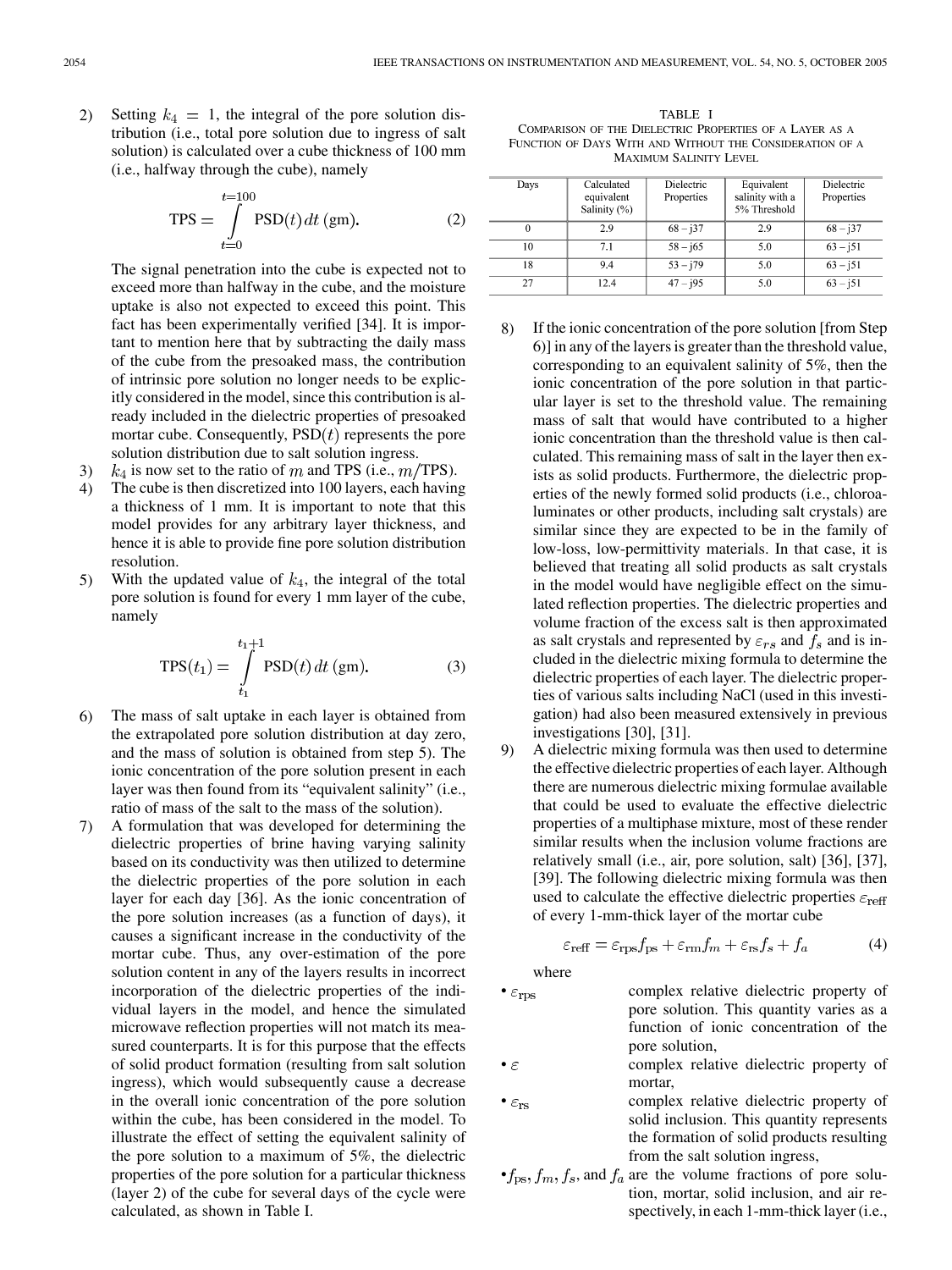2) Setting  $k_4 = 1$ , the integral of the pore solution distribution (i.e., total pore solution due to ingress of salt solution) is calculated over a cube thickness of 100 mm (i.e., halfway through the cube), namely

$$
TPS = \int_{t=0}^{t=100} \text{PSD}(t) dt \text{ (gm)}.
$$
 (2)

The signal penetration into the cube is expected not to exceed more than halfway in the cube, and the moisture uptake is also not expected to exceed this point. This fact has been experimentally verified [[34\]](#page-11-0). It is important to mention here that by subtracting the daily mass of the cube from the presoaked mass, the contribution of intrinsic pore solution no longer needs to be explicitly considered in the model, since this contribution is already included in the dielectric properties of presoaked mortar cube. Consequently,  $PSD(t)$  represents the pore solution distribution due to salt solution ingress.

- 3)  $k_4$  is now set to the ratio of m and TPS (i.e.,  $m/TPS$ ).
- 4) The cube is then discretized into 100 layers, each having a thickness of 1 mm. It is important to note that this model provides for any arbitrary layer thickness, and hence it is able to provide fine pore solution distribution resolution.
- 5) With the updated value of  $k_4$ , the integral of the total pore solution is found for every 1 mm layer of the cube, namely

$$
TPS(t_1) = \int_{t_1}^{t_1+1} PSD(t) dt \, (gm).
$$
 (3)

- 6) The mass of salt uptake in each layer is obtained from the extrapolated pore solution distribution at day zero, and the mass of solution is obtained from step 5). The ionic concentration of the pore solution present in each layer was then found from its "equivalent salinity" (i.e., ratio of mass of the salt to the mass of the solution).
- 7) A formulation that was developed for determining the dielectric properties of brine having varying salinity based on its conductivity was then utilized to determine the dielectric properties of the pore solution in each layer for each day [\[36](#page-11-0)]. As the ionic concentration of the pore solution increases (as a function of days), it causes a significant increase in the conductivity of the mortar cube. Thus, any over-estimation of the pore solution content in any of the layers results in incorrect incorporation of the dielectric properties of the individual layers in the model, and hence the simulated microwave reflection properties will not match its measured counterparts. It is for this purpose that the effects of solid product formation (resulting from salt solution ingress), which would subsequently cause a decrease in the overall ionic concentration of the pore solution within the cube, has been considered in the model. To illustrate the effect of setting the equivalent salinity of the pore solution to a maximum of 5%, the dielectric properties of the pore solution for a particular thickness (layer 2) of the cube for several days of the cycle were calculated, as shown in Table I.

TABLE I COMPARISON OF THE DIELECTRIC PROPERTIES OF A LAYER AS A FUNCTION OF DAYS WITH AND WITHOUT THE CONSIDERATION OF A MAXIMUM SALINITY LEVEL

| Days     | Calculated   | Dielectric | Equivalent      | Dielectric |
|----------|--------------|------------|-----------------|------------|
|          | equivalent   | Properties | salinity with a | Properties |
|          | Salinity (%) |            | 5% Threshold    |            |
| $\Omega$ | 2.9          | $68 - j37$ | 2.9             | $68 - j37$ |
| 10       | 7.1          | $58 - j65$ | 5.0             | $63 - 151$ |
| 18       | 9.4          | $53 - i79$ | 5.0             | $63 - 151$ |
| 27       | 12.4         | $47 - j95$ | 5.0             | $63 - 151$ |

- 8) If the ionic concentration of the pore solution [from Step 6)] in any of the layers is greater than the threshold value, corresponding to an equivalent salinity of 5%, then the ionic concentration of the pore solution in that particular layer is set to the threshold value. The remaining mass of salt that would have contributed to a higher ionic concentration than the threshold value is then calculated. This remaining mass of salt in the layer then exists as solid products. Furthermore, the dielectric properties of the newly formed solid products (i.e., chloroaluminates or other products, including salt crystals) are similar since they are expected to be in the family of low-loss, low-permittivity materials. In that case, it is believed that treating all solid products as salt crystals in the model would have negligible effect on the simulated reflection properties. The dielectric properties and volume fraction of the excess salt is then approximated as salt crystals and represented by  $\varepsilon_{rs}$  and  $f_s$  and is included in the dielectric mixing formula to determine the dielectric properties of each layer. The dielectric properties of various salts including NaCl (used in this investigation) had also been measured extensively in previous investigations [\[30](#page-11-0)], [\[31](#page-11-0)].
- 9) A dielectric mixing formula was then used to determine the effective dielectric properties of each layer. Although there are numerous dielectric mixing formulae available that could be used to evaluate the effective dielectric properties of a multiphase mixture, most of these render similar results when the inclusion volume fractions are relatively small (i.e., air, pore solution, salt) [[36\]](#page-11-0), [[37\]](#page-11-0), [[39\]](#page-12-0). The following dielectric mixing formula was then used to calculate the effective dielectric properties  $\varepsilon_{\text{reff}}$ of every 1-mm-thick layer of the mortar cube

$$
\varepsilon_{\text{reff}} = \varepsilon_{\text{rps}} f_{\text{ps}} + \varepsilon_{\text{rm}} f_m + \varepsilon_{\text{rs}} f_s + f_a \tag{4}
$$

where

•  $\varepsilon_{\rm rps}$  complex relative dielectric property of pore solution. This quantity varies as a function of ionic concentration of the pore solution,

- $\varepsilon$  complex relative dielectric property of mortar,
- $\varepsilon_{rs}$  complex relative dielectric property of solid inclusion. This quantity represents the formation of solid products resulting from the salt solution ingress,
- $\bullet f_{\text{DS}}$ ,  $f_m$ ,  $f_s$ , and  $f_a$  are the volume fractions of pore solution, mortar, solid inclusion, and air respectively, in each 1-mm-thick layer (i.e.,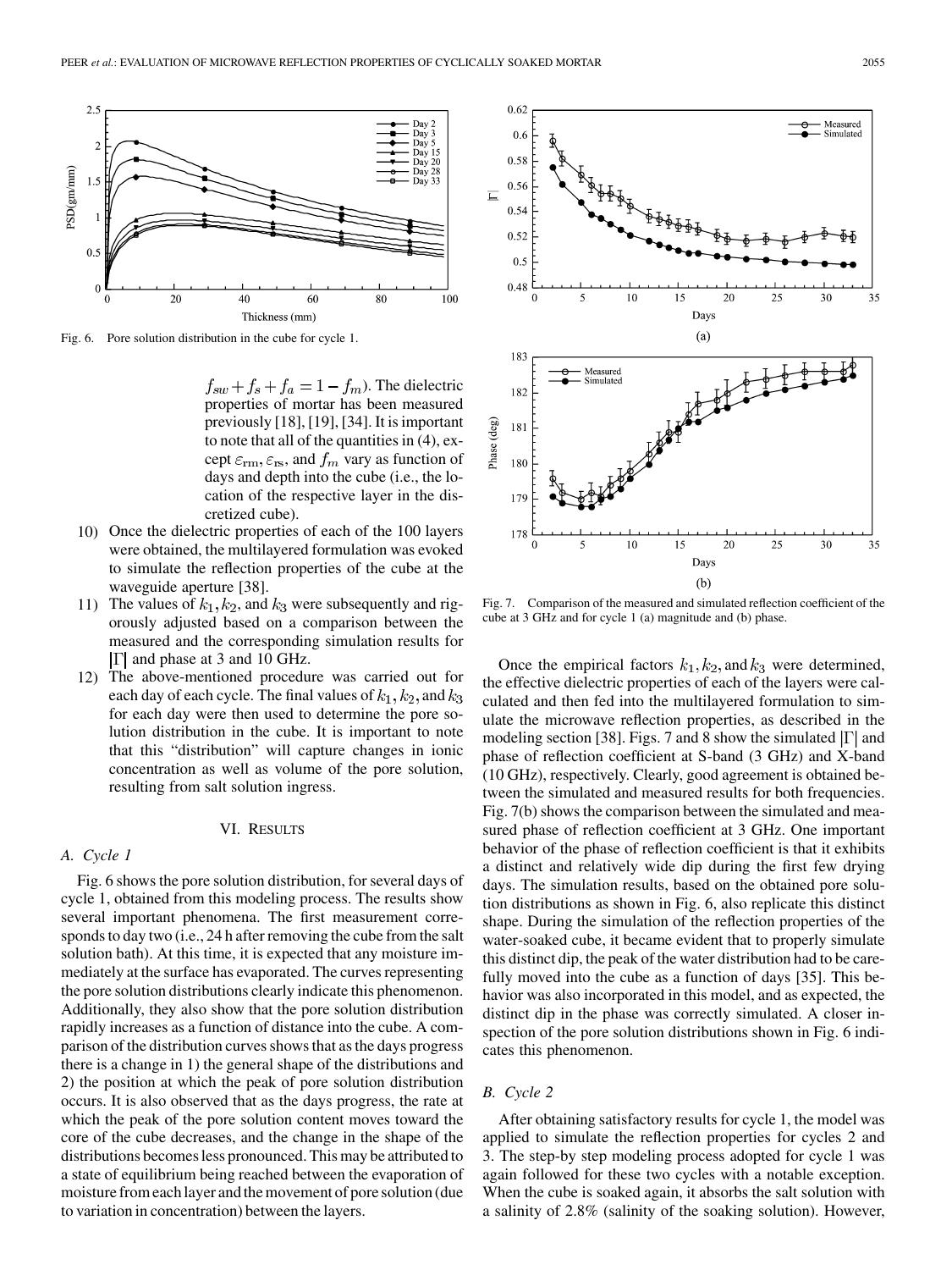

Fig. 6. Pore solution distribution in the cube for cycle 1.

 $f_{sw} + f_{s} + f_{a} = 1 - f_{m}$ ). The dielectric properties of mortar has been measured previously [[18\]](#page-11-0), [[19\]](#page-11-0), [\[34](#page-11-0)]. It is important to note that all of the quantities in (4), except  $\varepsilon_{\text{rm}}$ ,  $\varepsilon_{\text{rs}}$ , and  $f_m$  vary as function of days and depth into the cube (i.e., the location of the respective layer in the discretized cube).

- 10) Once the dielectric properties of each of the 100 layers were obtained, the multilayered formulation was evoked to simulate the reflection properties of the cube at the waveguide aperture [\[38](#page-11-0)].
- 11) The values of  $k_1, k_2$ , and  $k_3$  were subsequently and rigorously adjusted based on a comparison between the measured and the corresponding simulation results for  $|\Gamma|$  and phase at 3 and 10 GHz.
- 12) The above-mentioned procedure was carried out for each day of each cycle. The final values of  $k_1, k_2$ , and  $k_3$ for each day were then used to determine the pore solution distribution in the cube. It is important to note that this "distribution" will capture changes in ionic concentration as well as volume of the pore solution, resulting from salt solution ingress.

#### VI. RESULTS

#### *A. Cycle 1*

Fig. 6 shows the pore solution distribution, for several days of cycle 1, obtained from this modeling process. The results show several important phenomena. The first measurement corresponds to day two (i.e., 24 h after removing the cube from the salt solution bath). At this time, it is expected that any moisture immediately at the surface has evaporated. The curves representing the pore solution distributions clearly indicate this phenomenon. Additionally, they also show that the pore solution distribution rapidly increases as a function of distance into the cube. A comparison of the distribution curves shows that as the days progress there is a change in 1) the general shape of the distributions and 2) the position at which the peak of pore solution distribution occurs. It is also observed that as the days progress, the rate at which the peak of the pore solution content moves toward the core of the cube decreases, and the change in the shape of the distributions becomes less pronounced. This may be attributed to a state of equilibrium being reached between the evaporation of moisture from each layer and the movement of pore solution (due to variation in concentration) between the layers.



Fig. 7. Comparison of the measured and simulated reflection coefficient of the cube at 3 GHz and for cycle 1 (a) magnitude and (b) phase.

Once the empirical factors  $k_1, k_2$ , and  $k_3$  were determined, the effective dielectric properties of each of the layers were calculated and then fed into the multilayered formulation to simulate the microwave reflection properties, as described in the modeling section [[38\]](#page-11-0). Figs. 7 and 8 show the simulated  $|\Gamma|$  and phase of reflection coefficient at S-band (3 GHz) and X-band (10 GHz), respectively. Clearly, good agreement is obtained between the simulated and measured results for both frequencies. Fig. 7(b) shows the comparison between the simulated and measured phase of reflection coefficient at 3 GHz. One important behavior of the phase of reflection coefficient is that it exhibits a distinct and relatively wide dip during the first few drying days. The simulation results, based on the obtained pore solution distributions as shown in Fig. 6, also replicate this distinct shape. During the simulation of the reflection properties of the water-soaked cube, it became evident that to properly simulate this distinct dip, the peak of the water distribution had to be carefully moved into the cube as a function of days [[35\]](#page-11-0). This behavior was also incorporated in this model, and as expected, the distinct dip in the phase was correctly simulated. A closer inspection of the pore solution distributions shown in Fig. 6 indicates this phenomenon.

#### *B. Cycle 2*

After obtaining satisfactory results for cycle 1, the model was applied to simulate the reflection properties for cycles 2 and 3. The step-by step modeling process adopted for cycle 1 was again followed for these two cycles with a notable exception. When the cube is soaked again, it absorbs the salt solution with a salinity of 2.8% (salinity of the soaking solution). However,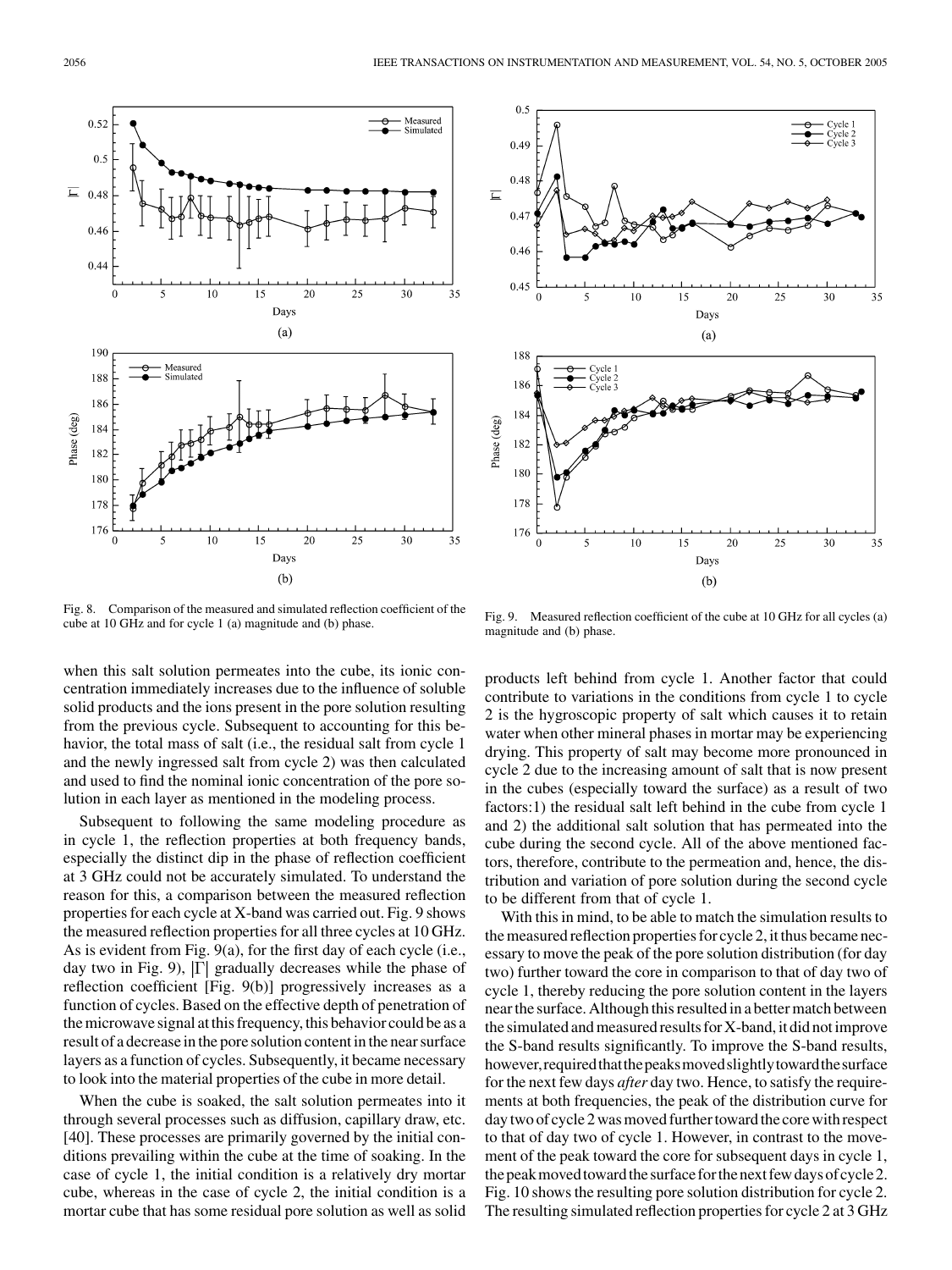

Fig. 8. Comparison of the measured and simulated reflection coefficient of the cube at 10 GHz and for cycle 1 (a) magnitude and (b) phase.

when this salt solution permeates into the cube, its ionic concentration immediately increases due to the influence of soluble solid products and the ions present in the pore solution resulting from the previous cycle. Subsequent to accounting for this behavior, the total mass of salt (i.e., the residual salt from cycle 1 and the newly ingressed salt from cycle 2) was then calculated and used to find the nominal ionic concentration of the pore solution in each layer as mentioned in the modeling process.

Subsequent to following the same modeling procedure as in cycle 1, the reflection properties at both frequency bands, especially the distinct dip in the phase of reflection coefficient at 3 GHz could not be accurately simulated. To understand the reason for this, a comparison between the measured reflection properties for each cycle at X-band was carried out. Fig. 9 shows the measured reflection properties for all three cycles at 10 GHz. As is evident from Fig. 9(a), for the first day of each cycle (i.e., day two in Fig. 9),  $|\Gamma|$  gradually decreases while the phase of reflection coefficient [Fig. 9(b)] progressively increases as a function of cycles. Based on the effective depth of penetration of the microwave signal at this frequency, this behavior could be as a result of a decrease in the pore solution content in the near surface layers as a function of cycles. Subsequently, it became necessary to look into the material properties of the cube in more detail.

When the cube is soaked, the salt solution permeates into it through several processes such as diffusion, capillary draw, etc. [[40\]](#page-12-0). These processes are primarily governed by the initial conditions prevailing within the cube at the time of soaking. In the case of cycle 1, the initial condition is a relatively dry mortar cube, whereas in the case of cycle 2, the initial condition is a mortar cube that has some residual pore solution as well as solid



Fig. 9. Measured reflection coefficient of the cube at 10 GHz for all cycles (a) magnitude and (b) phase.

products left behind from cycle 1. Another factor that could contribute to variations in the conditions from cycle 1 to cycle 2 is the hygroscopic property of salt which causes it to retain water when other mineral phases in mortar may be experiencing drying. This property of salt may become more pronounced in cycle 2 due to the increasing amount of salt that is now present in the cubes (especially toward the surface) as a result of two factors:1) the residual salt left behind in the cube from cycle 1 and 2) the additional salt solution that has permeated into the cube during the second cycle. All of the above mentioned factors, therefore, contribute to the permeation and, hence, the distribution and variation of pore solution during the second cycle to be different from that of cycle 1.

With this in mind, to be able to match the simulation results to the measured reflection properties for cycle 2, it thus became necessary to move the peak of the pore solution distribution (for day two) further toward the core in comparison to that of day two of cycle 1, thereby reducing the pore solution content in the layers near the surface. Although this resulted in a better match between the simulated and measured results for X-band, it did not improve the S-band results significantly. To improve the S-band results, however, required that the peaks moved slightly toward the surface for the next few days *after* day two. Hence, to satisfy the requirements at both frequencies, the peak of the distribution curve for day two of cycle 2 was moved further toward the core with respect to that of day two of cycle 1. However, in contrast to the movement of the peak toward the core for subsequent days in cycle 1, the peak moved toward the surface for the next few days of cycle 2. Fig. 10 shows the resulting pore solution distribution for cycle 2. The resulting simulated reflection properties for cycle 2 at 3 GHz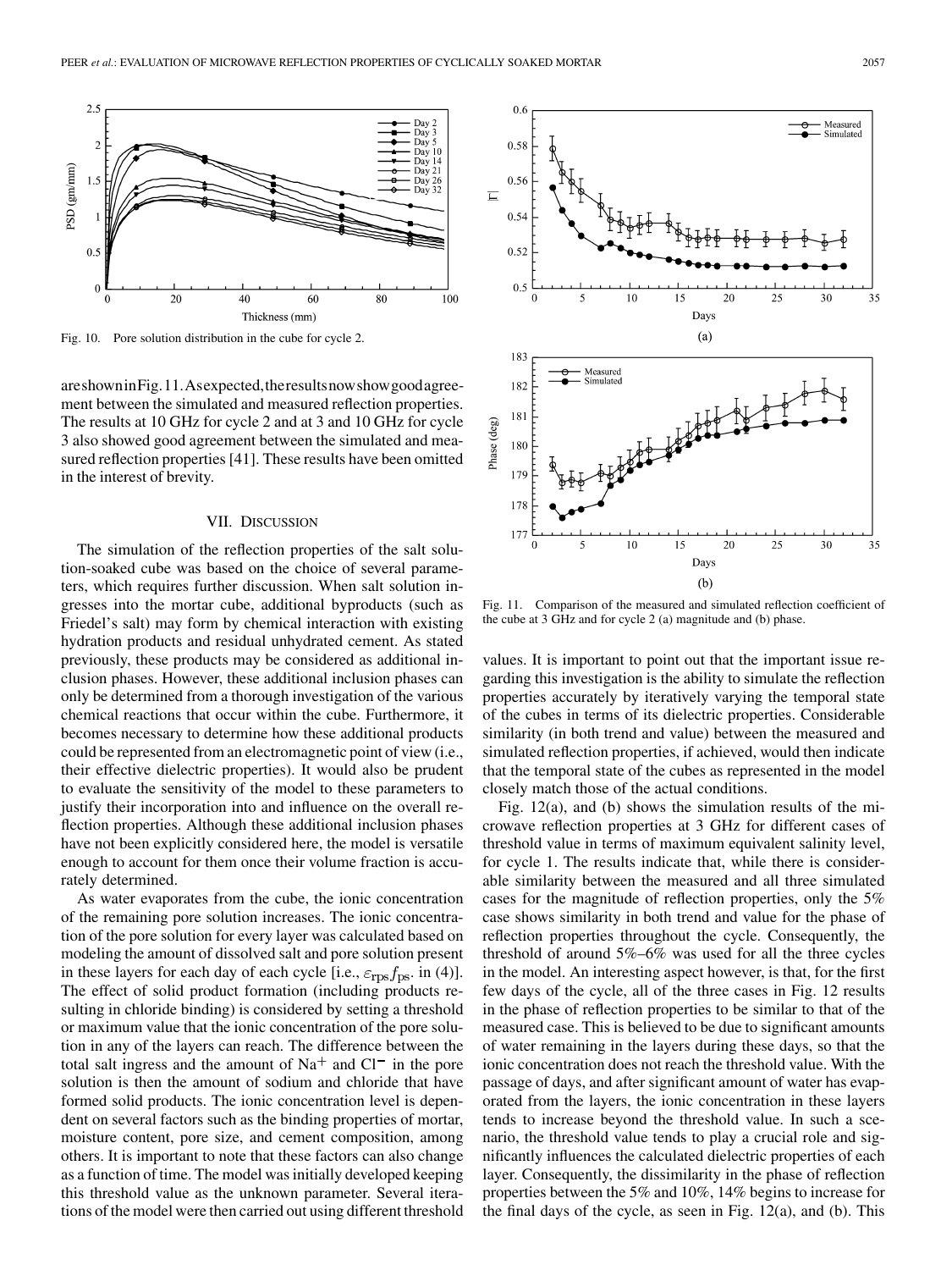

Fig. 10. Pore solution distribution in the cube for cycle 2.

areshowninFig.11.Asexpected,theresultsnowshowgoodagreement between the simulated and measured reflection properties. The results at 10 GHz for cycle 2 and at 3 and 10 GHz for cycle 3 also showed good agreement between the simulated and measured reflection properties [\[41](#page-12-0)]. These results have been omitted in the interest of brevity.

#### VII. DISCUSSION

The simulation of the reflection properties of the salt solution-soaked cube was based on the choice of several parameters, which requires further discussion. When salt solution ingresses into the mortar cube, additional byproducts (such as Friedel's salt) may form by chemical interaction with existing hydration products and residual unhydrated cement. As stated previously, these products may be considered as additional inclusion phases. However, these additional inclusion phases can only be determined from a thorough investigation of the various chemical reactions that occur within the cube. Furthermore, it becomes necessary to determine how these additional products could be represented from an electromagnetic point of view (i.e., their effective dielectric properties). It would also be prudent to evaluate the sensitivity of the model to these parameters to justify their incorporation into and influence on the overall reflection properties. Although these additional inclusion phases have not been explicitly considered here, the model is versatile enough to account for them once their volume fraction is accurately determined.

As water evaporates from the cube, the ionic concentration of the remaining pore solution increases. The ionic concentration of the pore solution for every layer was calculated based on modeling the amount of dissolved salt and pore solution present in these layers for each day of each cycle [i.e.,  $\varepsilon_{\text{rps}} f_{\text{ps}}$ . in (4)]. The effect of solid product formation (including products resulting in chloride binding) is considered by setting a threshold or maximum value that the ionic concentration of the pore solution in any of the layers can reach. The difference between the total salt ingress and the amount of  $Na<sup>+</sup>$  and  $Cl<sup>-</sup>$  in the pore solution is then the amount of sodium and chloride that have formed solid products. The ionic concentration level is dependent on several factors such as the binding properties of mortar, moisture content, pore size, and cement composition, among others. It is important to note that these factors can also change as a function of time. The model was initially developed keeping this threshold value as the unknown parameter. Several iterations of the model were then carried out using different threshold



Fig. 11. Comparison of the measured and simulated reflection coefficient of the cube at 3 GHz and for cycle 2 (a) magnitude and (b) phase.

values. It is important to point out that the important issue regarding this investigation is the ability to simulate the reflection properties accurately by iteratively varying the temporal state of the cubes in terms of its dielectric properties. Considerable similarity (in both trend and value) between the measured and simulated reflection properties, if achieved, would then indicate that the temporal state of the cubes as represented in the model closely match those of the actual conditions.

Fig. 12(a), and (b) shows the simulation results of the microwave reflection properties at 3 GHz for different cases of threshold value in terms of maximum equivalent salinity level, for cycle 1. The results indicate that, while there is considerable similarity between the measured and all three simulated cases for the magnitude of reflection properties, only the 5% case shows similarity in both trend and value for the phase of reflection properties throughout the cycle. Consequently, the threshold of around 5%–6% was used for all the three cycles in the model. An interesting aspect however, is that, for the first few days of the cycle, all of the three cases in Fig. 12 results in the phase of reflection properties to be similar to that of the measured case. This is believed to be due to significant amounts of water remaining in the layers during these days, so that the ionic concentration does not reach the threshold value. With the passage of days, and after significant amount of water has evaporated from the layers, the ionic concentration in these layers tends to increase beyond the threshold value. In such a scenario, the threshold value tends to play a crucial role and significantly influences the calculated dielectric properties of each layer. Consequently, the dissimilarity in the phase of reflection properties between the 5% and 10%, 14% begins to increase for the final days of the cycle, as seen in Fig. 12(a), and (b). This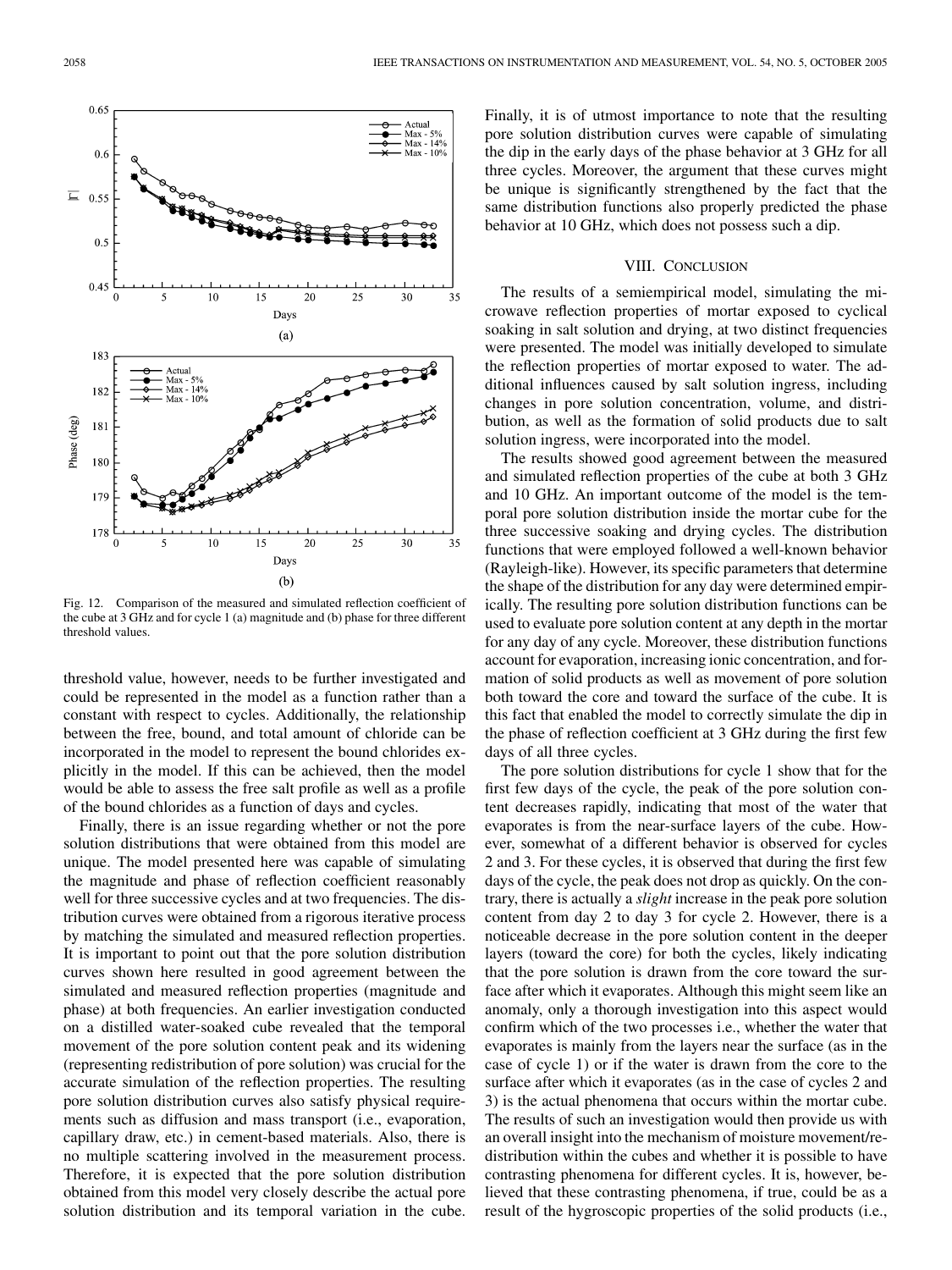

Fig. 12. Comparison of the measured and simulated reflection coefficient of the cube at 3 GHz and for cycle 1 (a) magnitude and (b) phase for three different threshold values.

threshold value, however, needs to be further investigated and could be represented in the model as a function rather than a constant with respect to cycles. Additionally, the relationship between the free, bound, and total amount of chloride can be incorporated in the model to represent the bound chlorides explicitly in the model. If this can be achieved, then the model would be able to assess the free salt profile as well as a profile of the bound chlorides as a function of days and cycles.

Finally, there is an issue regarding whether or not the pore solution distributions that were obtained from this model are unique. The model presented here was capable of simulating the magnitude and phase of reflection coefficient reasonably well for three successive cycles and at two frequencies. The distribution curves were obtained from a rigorous iterative process by matching the simulated and measured reflection properties. It is important to point out that the pore solution distribution curves shown here resulted in good agreement between the simulated and measured reflection properties (magnitude and phase) at both frequencies. An earlier investigation conducted on a distilled water-soaked cube revealed that the temporal movement of the pore solution content peak and its widening (representing redistribution of pore solution) was crucial for the accurate simulation of the reflection properties. The resulting pore solution distribution curves also satisfy physical requirements such as diffusion and mass transport (i.e., evaporation, capillary draw, etc.) in cement-based materials. Also, there is no multiple scattering involved in the measurement process. Therefore, it is expected that the pore solution distribution obtained from this model very closely describe the actual pore solution distribution and its temporal variation in the cube.

Finally, it is of utmost importance to note that the resulting pore solution distribution curves were capable of simulating the dip in the early days of the phase behavior at 3 GHz for all three cycles. Moreover, the argument that these curves might be unique is significantly strengthened by the fact that the same distribution functions also properly predicted the phase behavior at 10 GHz, which does not possess such a dip.

#### VIII. CONCLUSION

The results of a semiempirical model, simulating the microwave reflection properties of mortar exposed to cyclical soaking in salt solution and drying, at two distinct frequencies were presented. The model was initially developed to simulate the reflection properties of mortar exposed to water. The additional influences caused by salt solution ingress, including changes in pore solution concentration, volume, and distribution, as well as the formation of solid products due to salt solution ingress, were incorporated into the model.

The results showed good agreement between the measured and simulated reflection properties of the cube at both 3 GHz and 10 GHz. An important outcome of the model is the temporal pore solution distribution inside the mortar cube for the three successive soaking and drying cycles. The distribution functions that were employed followed a well-known behavior (Rayleigh-like). However, its specific parameters that determine the shape of the distribution for any day were determined empirically. The resulting pore solution distribution functions can be used to evaluate pore solution content at any depth in the mortar for any day of any cycle. Moreover, these distribution functions account for evaporation, increasing ionic concentration, and formation of solid products as well as movement of pore solution both toward the core and toward the surface of the cube. It is this fact that enabled the model to correctly simulate the dip in the phase of reflection coefficient at 3 GHz during the first few days of all three cycles.

The pore solution distributions for cycle 1 show that for the first few days of the cycle, the peak of the pore solution content decreases rapidly, indicating that most of the water that evaporates is from the near-surface layers of the cube. However, somewhat of a different behavior is observed for cycles 2 and 3. For these cycles, it is observed that during the first few days of the cycle, the peak does not drop as quickly. On the contrary, there is actually a *slight* increase in the peak pore solution content from day 2 to day 3 for cycle 2. However, there is a noticeable decrease in the pore solution content in the deeper layers (toward the core) for both the cycles, likely indicating that the pore solution is drawn from the core toward the surface after which it evaporates. Although this might seem like an anomaly, only a thorough investigation into this aspect would confirm which of the two processes i.e., whether the water that evaporates is mainly from the layers near the surface (as in the case of cycle 1) or if the water is drawn from the core to the surface after which it evaporates (as in the case of cycles 2 and 3) is the actual phenomena that occurs within the mortar cube. The results of such an investigation would then provide us with an overall insight into the mechanism of moisture movement/redistribution within the cubes and whether it is possible to have contrasting phenomena for different cycles. It is, however, believed that these contrasting phenomena, if true, could be as a result of the hygroscopic properties of the solid products (i.e.,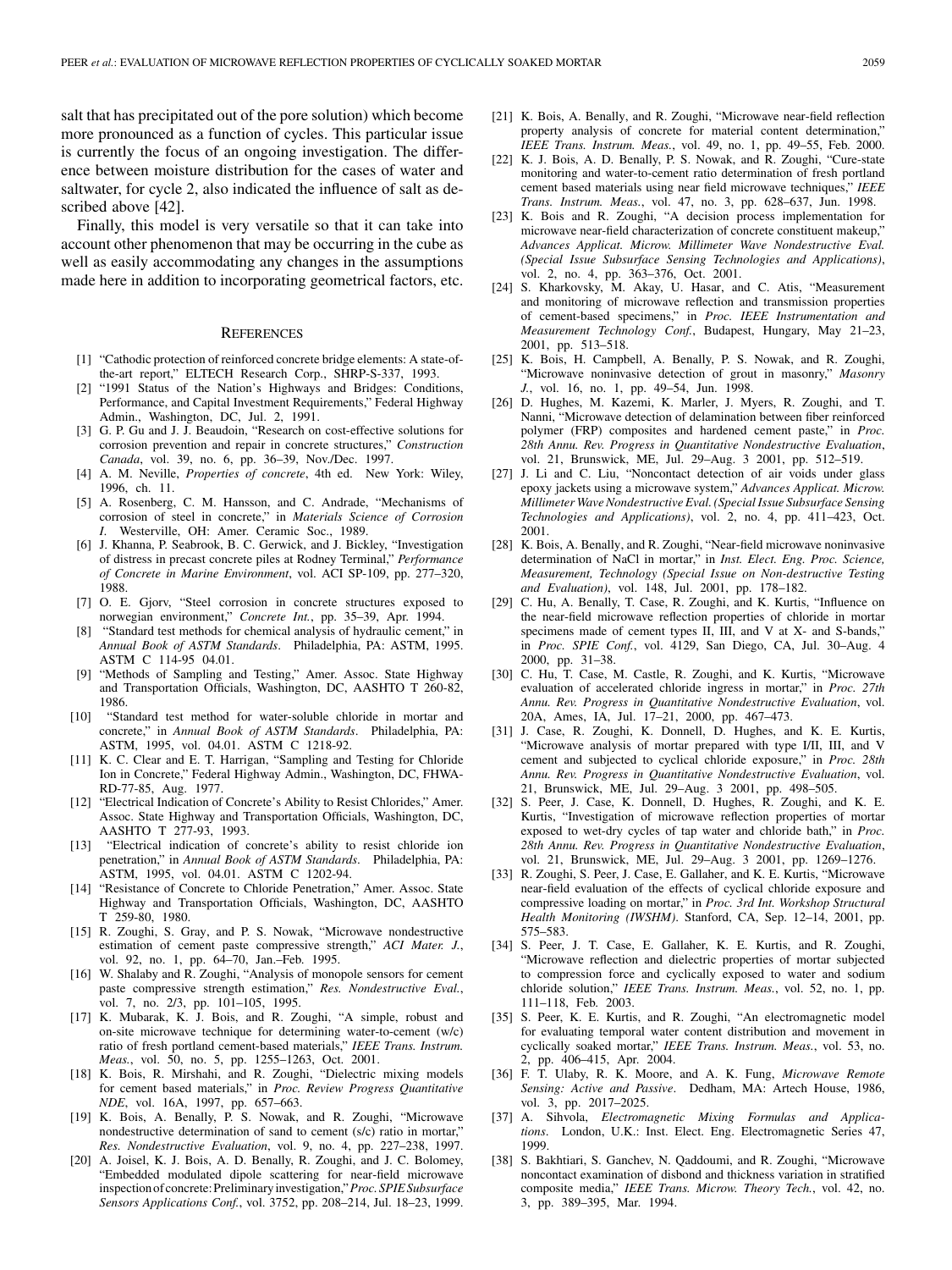<span id="page-11-0"></span>salt that has precipitated out of the pore solution) which become more pronounced as a function of cycles. This particular issue is currently the focus of an ongoing investigation. The difference between moisture distribution for the cases of water and saltwater, for cycle 2, also indicated the influence of salt as described above [[42\]](#page-12-0).

Finally, this model is very versatile so that it can take into account other phenomenon that may be occurring in the cube as well as easily accommodating any changes in the assumptions made here in addition to incorporating geometrical factors, etc.

#### **REFERENCES**

- [1] "Cathodic protection of reinforced concrete bridge elements: A state-ofthe-art report," ELTECH Research Corp., SHRP-S-337, 1993.
- [2] "1991 Status of the Nation's Highways and Bridges: Conditions, Performance, and Capital Investment Requirements," Federal Highway Admin., Washington, DC, Jul. 2, 1991.
- [3] G. P. Gu and J. J. Beaudoin, "Research on cost-effective solutions for corrosion prevention and repair in concrete structures," *Construction Canada*, vol. 39, no. 6, pp. 36–39, Nov./Dec. 1997.
- [4] A. M. Neville, *Properties of concrete*, 4th ed. New York: Wiley, 1996, ch. 11.
- [5] A. Rosenberg, C. M. Hansson, and C. Andrade, "Mechanisms of corrosion of steel in concrete," in *Materials Science of Corrosion I*. Westerville, OH: Amer. Ceramic Soc., 1989.
- [6] J. Khanna, P. Seabrook, B. C. Gerwick, and J. Bickley, "Investigation of distress in precast concrete piles at Rodney Terminal," *Performance of Concrete in Marine Environment*, vol. ACI SP-109, pp. 277–320, 1988.
- [7] O. E. Gjorv, "Steel corrosion in concrete structures exposed to norwegian environment," *Concrete Int.*, pp. 35–39, Apr. 1994.
- [8] "Standard test methods for chemical analysis of hydraulic cement," in *Annual Book of ASTM Standards*. Philadelphia, PA: ASTM, 1995. ASTM C 114-95 04.01.
- [9] "Methods of Sampling and Testing," Amer. Assoc. State Highway and Transportation Officials, Washington, DC, AASHTO T 260-82, 1986.
- [10] "Standard test method for water-soluble chloride in mortar and concrete," in *Annual Book of ASTM Standards*. Philadelphia, PA: ASTM, 1995, vol. 04.01. ASTM C 1218-92.
- [11] K. C. Clear and E. T. Harrigan, "Sampling and Testing for Chloride Ion in Concrete," Federal Highway Admin., Washington, DC, FHWA-RD-77-85, Aug. 1977.
- [12] "Electrical Indication of Concrete's Ability to Resist Chlorides," Amer. Assoc. State Highway and Transportation Officials, Washington, DC, AASHTO T 277-93, 1993.
- [13] "Electrical indication of concrete's ability to resist chloride ion penetration," in *Annual Book of ASTM Standards*. Philadelphia, PA: ASTM, 1995, vol. 04.01. ASTM C 1202-94.
- [14] "Resistance of Concrete to Chloride Penetration," Amer. Assoc. State Highway and Transportation Officials, Washington, DC, AASHTO T 259-80, 1980.
- [15] R. Zoughi, S. Gray, and P. S. Nowak, "Microwave nondestructive estimation of cement paste compressive strength," *ACI Mater. J.*, vol. 92, no. 1, pp. 64–70, Jan.–Feb. 1995.
- [16] W. Shalaby and R. Zoughi, "Analysis of monopole sensors for cement paste compressive strength estimation," *Res. Nondestructive Eval.*, vol. 7, no. 2/3, pp. 101–105, 1995.
- [17] K. Mubarak, K. J. Bois, and R. Zoughi, "A simple, robust and on-site microwave technique for determining water-to-cement (w/c) ratio of fresh portland cement-based materials," *IEEE Trans. Instrum. Meas.*, vol. 50, no. 5, pp. 1255–1263, Oct. 2001.
- [18] K. Bois, R. Mirshahi, and R. Zoughi, "Dielectric mixing models for cement based materials," in *Proc. Review Progress Quantitative NDE*, vol. 16A, 1997, pp. 657–663.
- [19] K. Bois, A. Benally, P. S. Nowak, and R. Zoughi, "Microwave nondestructive determination of sand to cement (s/c) ratio in mortar," *Res. Nondestructive Evaluation*, vol. 9, no. 4, pp. 227–238, 1997.
- [20] A. Joisel, K. J. Bois, A. D. Benally, R. Zoughi, and J. C. Bolomey, "Embedded modulated dipole scattering for near-field microwave inspectionofconcrete:Preliminaryinvestigation,"*Proc.SPIESubsurface Sensors Applications Conf.*, vol. 3752, pp. 208–214, Jul. 18–23, 1999.
- [21] K. Bois, A. Benally, and R. Zoughi, "Microwave near-field reflection property analysis of concrete for material content determination," *IEEE Trans. Instrum. Meas.*, vol. 49, no. 1, pp. 49–55, Feb. 2000.
- [22] K. J. Bois, A. D. Benally, P. S. Nowak, and R. Zoughi, "Cure-state monitoring and water-to-cement ratio determination of fresh portland cement based materials using near field microwave techniques," *IEEE Trans. Instrum. Meas.*, vol. 47, no. 3, pp. 628–637, Jun. 1998.
- [23] K. Bois and R. Zoughi, "A decision process implementation for microwave near-field characterization of concrete constituent makeup," *Advances Applicat. Microw. Millimeter Wave Nondestructive Eval. (Special Issue Subsurface Sensing Technologies and Applications)*, vol. 2, no. 4, pp. 363–376, Oct. 2001.
- [24] S. Kharkovsky, M. Akay, U. Hasar, and C. Atis, "Measurement and monitoring of microwave reflection and transmission properties of cement-based specimens," in *Proc. IEEE Instrumentation and Measurement Technology Conf.*, Budapest, Hungary, May 21–23, 2001, pp. 513–518.
- [25] K. Bois, H. Campbell, A. Benally, P. S. Nowak, and R. Zoughi, "Microwave noninvasive detection of grout in masonry," *Masonry J.*, vol. 16, no. 1, pp. 49–54, Jun. 1998.
- [26] D. Hughes, M. Kazemi, K. Marler, J. Myers, R. Zoughi, and T. Nanni, "Microwave detection of delamination between fiber reinforced polymer (FRP) composites and hardened cement paste," in *Proc. 28th Annu. Rev. Progress in Quantitative Nondestructive Evaluation*, vol. 21, Brunswick, ME, Jul. 29–Aug. 3 2001, pp. 512–519.
- [27] J. Li and C. Liu, "Noncontact detection of air voids under glass epoxy jackets using a microwave system," *Advances Applicat. Microw. Millimeter Wave Nondestructive Eval. (Special Issue Subsurface Sensing Technologies and Applications)*, vol. 2, no. 4, pp. 411–423, Oct. 2001.
- [28] K. Bois, A. Benally, and R. Zoughi, "Near-field microwave noninvasive determination of NaCl in mortar," in *Inst. Elect. Eng. Proc. Science, Measurement, Technology (Special Issue on Non-destructive Testing and Evaluation)*, vol. 148, Jul. 2001, pp. 178–182.
- [29] C. Hu, A. Benally, T. Case, R. Zoughi, and K. Kurtis, "Influence on the near-field microwave reflection properties of chloride in mortar specimens made of cement types II, III, and V at X- and S-bands," in *Proc. SPIE Conf.*, vol. 4129, San Diego, CA, Jul. 30–Aug. 4 2000, pp. 31–38.
- [30] C. Hu, T. Case, M. Castle, R. Zoughi, and K. Kurtis, "Microwave evaluation of accelerated chloride ingress in mortar," in *Proc. 27th Annu. Rev. Progress in Quantitative Nondestructive Evaluation*, vol. 20A, Ames, IA, Jul. 17–21, 2000, pp. 467–473.
- [31] J. Case, R. Zoughi, K. Donnell, D. Hughes, and K. E. Kurtis, "Microwave analysis of mortar prepared with type I/II, III, and V cement and subjected to cyclical chloride exposure," in *Proc. 28th Annu. Rev. Progress in Quantitative Nondestructive Evaluation*, vol. 21, Brunswick, ME, Jul. 29–Aug. 3 2001, pp. 498–505.
- [32] S. Peer, J. Case, K. Donnell, D. Hughes, R. Zoughi, and K. E. Kurtis, "Investigation of microwave reflection properties of mortar exposed to wet-dry cycles of tap water and chloride bath," in *Proc. 28th Annu. Rev. Progress in Quantitative Nondestructive Evaluation*, vol. 21, Brunswick, ME, Jul. 29–Aug. 3 2001, pp. 1269–1276.
- [33] R. Zoughi, S. Peer, J. Case, E. Gallaher, and K. E. Kurtis, "Microwave near-field evaluation of the effects of cyclical chloride exposure and compressive loading on mortar," in *Proc. 3rd Int. Workshop Structural Health Monitoring (IWSHM)*. Stanford, CA, Sep. 12–14, 2001, pp. 575–583.
- [34] S. Peer, J. T. Case, E. Gallaher, K. E. Kurtis, and R. Zoughi, "Microwave reflection and dielectric properties of mortar subjected to compression force and cyclically exposed to water and sodium chloride solution," *IEEE Trans. Instrum. Meas.*, vol. 52, no. 1, pp. 111–118, Feb. 2003.
- [35] S. Peer, K. E. Kurtis, and R. Zoughi, "An electromagnetic model for evaluating temporal water content distribution and movement in cyclically soaked mortar," *IEEE Trans. Instrum. Meas.*, vol. 53, no. 2, pp. 406–415, Apr. 2004.
- [36] F. T. Ulaby, R. K. Moore, and A. K. Fung, *Microwave Remote Sensing: Active and Passive*. Dedham, MA: Artech House, 1986, vol. 3, pp. 2017–2025.
- [37] A. Sihvola, *Electromagnetic Mixing Formulas and Applications*. London, U.K.: Inst. Elect. Eng. Electromagnetic Series 47, 1999.
- [38] S. Bakhtiari, S. Ganchev, N. Qaddoumi, and R. Zoughi, "Microwave noncontact examination of disbond and thickness variation in stratified composite media," *IEEE Trans. Microw. Theory Tech.*, vol. 42, no. 3, pp. 389–395, Mar. 1994.